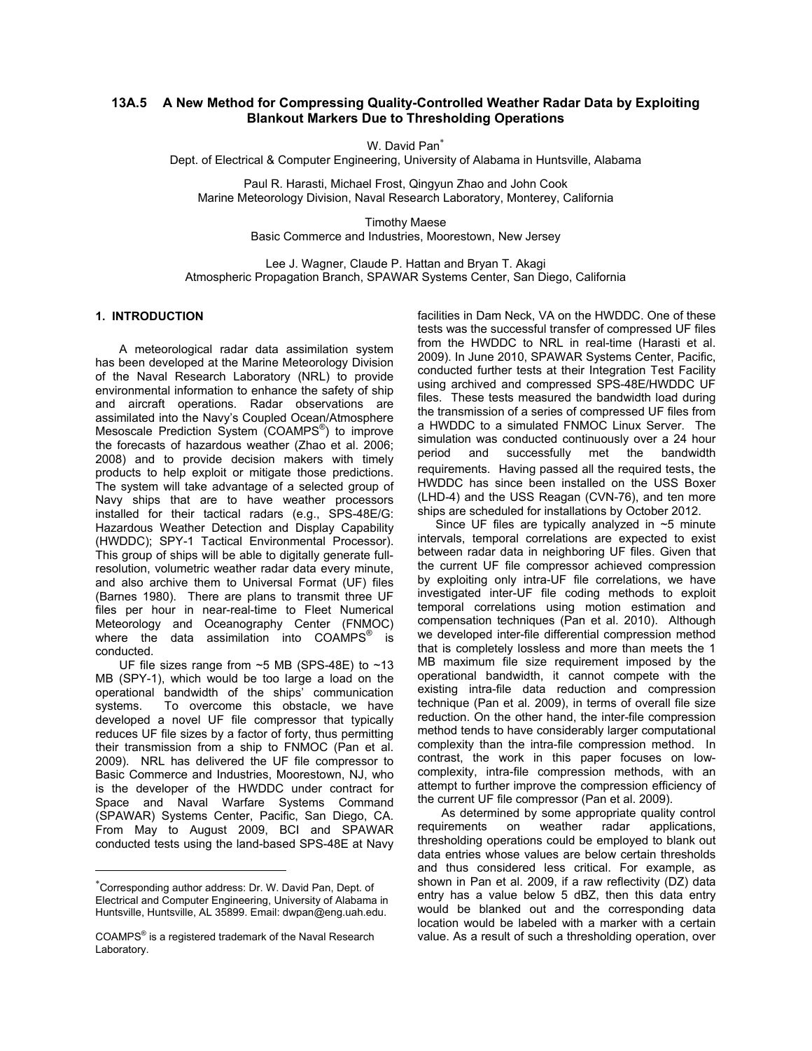# **13A.5 A New Method for Compressing Quality-Controlled Weather Radar Data by Exploiting Blankout Markers Due to Thresholding Operations**

W. David Pan<sup>\*</sup>

Dept. of Electrical & Computer Engineering, University of Alabama in Huntsville, Alabama

Paul R. Harasti, Michael Frost, Qingyun Zhao and John Cook Marine Meteorology Division, Naval Research Laboratory, Monterey, California

> Timothy Maese Basic Commerce and Industries, Moorestown, New Jersey

Lee J. Wagner, Claude P. Hattan and Bryan T. Akagi Atmospheric Propagation Branch, SPAWAR Systems Center, San Diego, California

### **1. INTRODUCTION**[∗](#page-0-0)

A meteorological radar data assimilation system has been developed at the Marine Meteorology Division of the Naval Research Laboratory (NRL) to provide environmental information to enhance the safety of ship and aircraft operations. Radar observations are assimilated into the Navy's Coupled Ocean/Atmosphere Mesoscale Prediction System (COAMPS<sup>®</sup>) to improve the forecasts of hazardous weather (Zhao et al. 2006; 2008) and to provide decision makers with timely products to help exploit or mitigate those predictions. The system will take advantage of a selected group of Navy ships that are to have weather processors installed for their tactical radars (e.g., SPS-48E/G: Hazardous Weather Detection and Display Capability (HWDDC); SPY-1 Tactical Environmental Processor). This group of ships will be able to digitally generate fullresolution, volumetric weather radar data every minute, and also archive them to Universal Format (UF) files (Barnes 1980). There are plans to transmit three UF files per hour in near-real-time to Fleet Numerical Meteorology and Oceanography Center (FNMOC) where the data assimilation into  $COMPS^{\circ}$  is conducted.

UF file sizes range from  $~5$  MB (SPS-48E) to  $~13$ MB (SPY-1), which would be too large a load on the operational bandwidth of the ships' communication systems. To overcome this obstacle, we have developed a novel UF file compressor that typically reduces UF file sizes by a factor of forty, thus permitting their transmission from a ship to FNMOC (Pan et al. 2009). NRL has delivered the UF file compressor to Basic Commerce and Industries, Moorestown, NJ, who is the developer of the HWDDC under contract for Space and Naval Warfare Systems Command (SPAWAR) Systems Center, Pacific, San Diego, CA. From May to August 2009, BCI and SPAWAR conducted tests using the land-based SPS-48E at Navy

 $\overline{a}$ 

facilities in Dam Neck, VA on the HWDDC. One of these tests was the successful transfer of compressed UF files from the HWDDC to NRL in real-time (Harasti et al. 2009). In June 2010, SPAWAR Systems Center, Pacific, conducted further tests at their Integration Test Facility using archived and compressed SPS-48E/HWDDC UF files. These tests measured the bandwidth load during the transmission of a series of compressed UF files from a HWDDC to a simulated FNMOC Linux Server. The simulation was conducted continuously over a 24 hour period and successfully met the bandwidth requirements. Having passed all the required tests, the HWDDC has since been installed on the USS Boxer (LHD-4) and the USS Reagan (CVN-76), and ten more ships are scheduled for installations by October 2012.

Since UF files are typically analyzed in  $~5$  minute intervals, temporal correlations are expected to exist between radar data in neighboring UF files. Given that the current UF file compressor achieved compression by exploiting only intra-UF file correlations, we have investigated inter-UF file coding methods to exploit temporal correlations using motion estimation and compensation techniques (Pan et al. 2010). Although we developed inter-file differential compression method that is completely lossless and more than meets the 1 MB maximum file size requirement imposed by the operational bandwidth, it cannot compete with the existing intra-file data reduction and compression technique (Pan et al. 2009), in terms of overall file size reduction. On the other hand, the inter-file compression method tends to have considerably larger computational complexity than the intra-file compression method. In contrast, the work in this paper focuses on lowcomplexity, intra-file compression methods, with an attempt to further improve the compression efficiency of the current UF file compressor (Pan et al. 2009).

As determined by some appropriate quality control requirements on weather radar applications, thresholding operations could be employed to blank out data entries whose values are below certain thresholds and thus considered less critical. For example, as shown in Pan et al. 2009, if a raw reflectivity (DZ) data entry has a value below 5 dBZ, then this data entry would be blanked out and the corresponding data location would be labeled with a marker with a certain value. As a result of such a thresholding operation, over

<span id="page-0-0"></span><sup>∗</sup> Corresponding author address: Dr. W. David Pan, Dept. of Electrical and Computer Engineering, University of Alabama in Huntsville, Huntsville, AL 35899. Email: dwpan@eng.uah.edu.

COAMPS<sup>®</sup> is a registered trademark of the Naval Research Laboratory.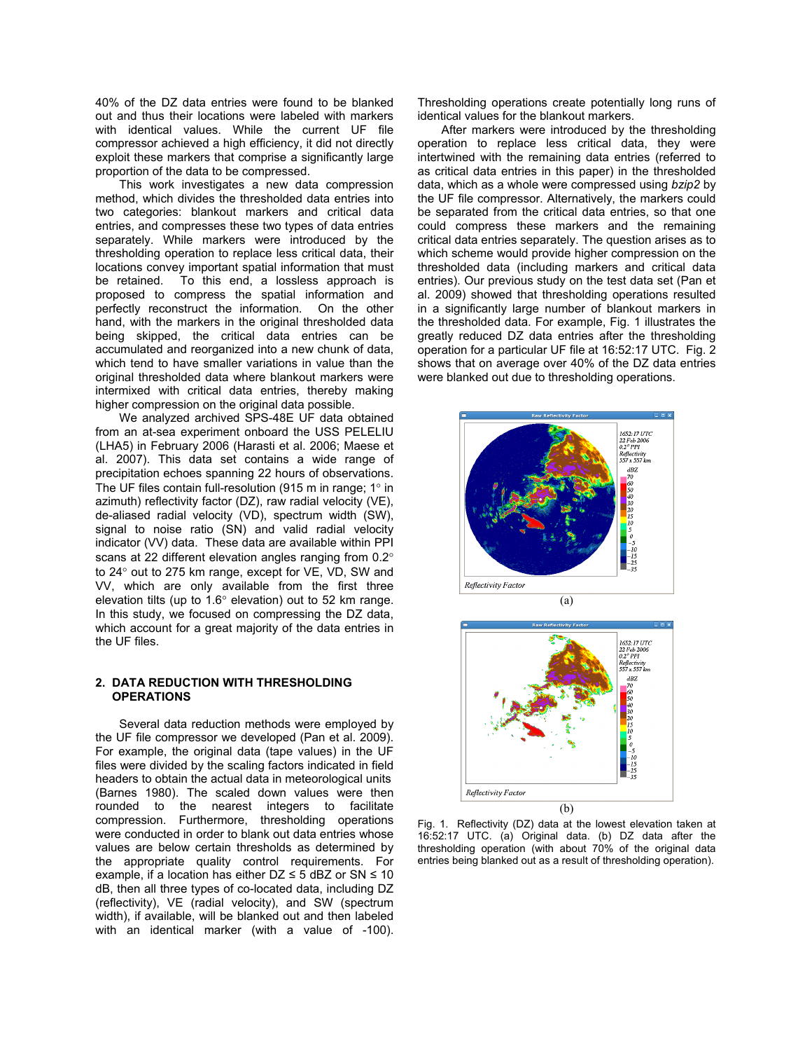40% of the DZ data entries were found to be blanked out and thus their locations were labeled with markers with identical values. While the current UF file compressor achieved a high efficiency, it did not directly exploit these markers that comprise a significantly large proportion of the data to be compressed.

This work investigates a new data compression method, which divides the thresholded data entries into two categories: blankout markers and critical data entries, and compresses these two types of data entries separately. While markers were introduced by the thresholding operation to replace less critical data, their locations convey important spatial information that must be retained. To this end, a lossless approach is proposed to compress the spatial information and perfectly reconstruct the information. On the other hand, with the markers in the original thresholded data being skipped, the critical data entries can be accumulated and reorganized into a new chunk of data, which tend to have smaller variations in value than the original thresholded data where blankout markers were intermixed with critical data entries, thereby making higher compression on the original data possible.

We analyzed archived SPS-48E UF data obtained from an at-sea experiment onboard the USS PELELIU (LHA5) in February 2006 (Harasti et al. 2006; Maese et al. 2007). This data set contains a wide range of precipitation echoes spanning 22 hours of observations. The UF files contain full-resolution (915 m in range; 1° in azimuth) reflectivity factor (DZ), raw radial velocity (VE), de-aliased radial velocity (VD), spectrum width (SW), signal to noise ratio (SN) and valid radial velocity indicator (VV) data. These data are available within PPI scans at 22 different elevation angles ranging from 0.2° to 24° out to 275 km range, except for VE, VD, SW and VV, which are only available from the first three elevation tilts (up to 1.6° elevation) out to 52 km range. In this study, we focused on compressing the DZ data, which account for a great majority of the data entries in the UF files.

### **2. DATA REDUCTION WITH THRESHOLDING OPERATIONS**

Several data reduction methods were employed by the UF file compressor we developed (Pan et al. 2009). For example, the original data (tape values) in the UF files were divided by the scaling factors indicated in field headers to obtain the actual data in meteorological units (Barnes 1980). The scaled down values were then rounded to the nearest integers to facilitate compression. Furthermore, thresholding operations were conducted in order to blank out data entries whose values are below certain thresholds as determined by the appropriate quality control requirements. For example, if a location has either  $DZ \le 5$  dBZ or SN  $\le 10$ dB, then all three types of co-located data, including DZ (reflectivity), VE (radial velocity), and SW (spectrum width), if available, will be blanked out and then labeled with an identical marker (with a value of -100).

Thresholding operations create potentially long runs of identical values for the blankout markers.

After markers were introduced by the thresholding operation to replace less critical data, they were intertwined with the remaining data entries (referred to as critical data entries in this paper) in the thresholded data, which as a whole were compressed using *bzip2* by the UF file compressor. Alternatively, the markers could be separated from the critical data entries, so that one could compress these markers and the remaining critical data entries separately. The question arises as to which scheme would provide higher compression on the thresholded data (including markers and critical data entries). Our previous study on the test data set (Pan et al. 2009) showed that thresholding operations resulted in a significantly large number of blankout markers in the thresholded data. For example, Fig. 1 illustrates the greatly reduced DZ data entries after the thresholding operation for a particular UF file at 16:52:17 UTC. Fig. 2 shows that on average over 40% of the DZ data entries were blanked out due to thresholding operations.





Fig. 1. Reflectivity (DZ) data at the lowest elevation taken at 16:52:17 UTC. (a) Original data. (b) DZ data after the thresholding operation (with about 70% of the original data entries being blanked out as a result of thresholding operation).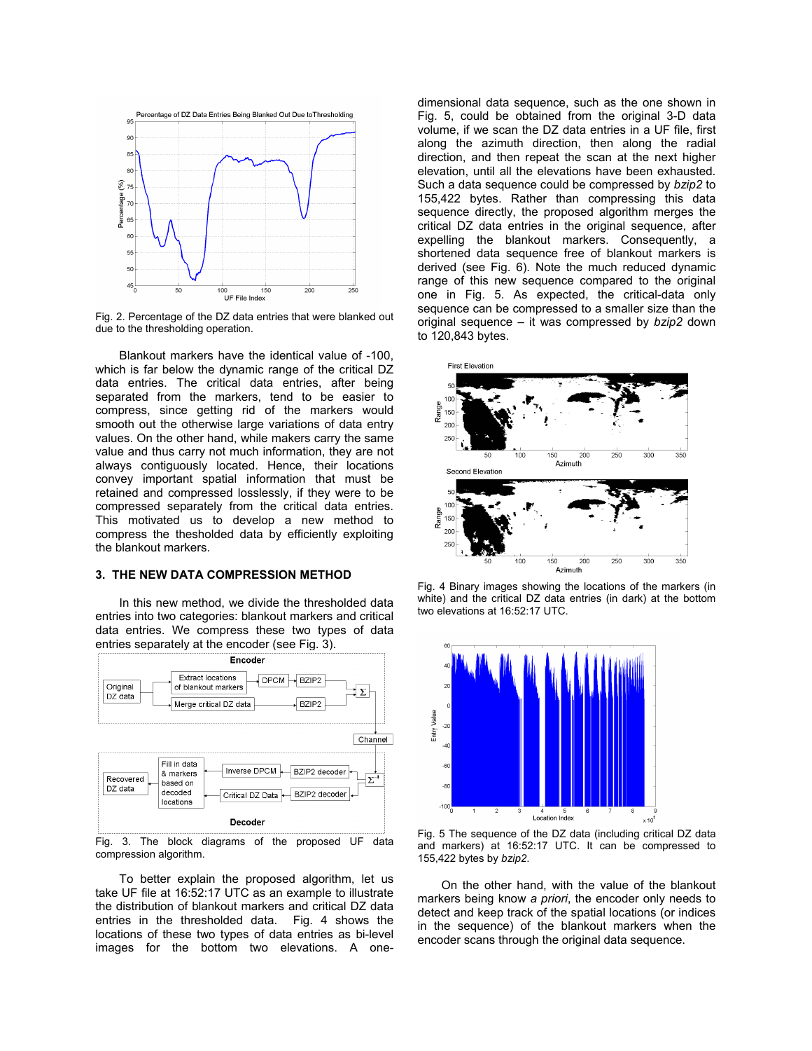

Fig. 2. Percentage of the DZ data entries that were blanked out due to the thresholding operation.

Blankout markers have the identical value of -100, which is far below the dynamic range of the critical DZ data entries. The critical data entries, after being separated from the markers, tend to be easier to compress, since getting rid of the markers would smooth out the otherwise large variations of data entry values. On the other hand, while makers carry the same value and thus carry not much information, they are not always contiguously located. Hence, their locations convey important spatial information that must be retained and compressed losslessly, if they were to be compressed separately from the critical data entries. This motivated us to develop a new method to compress the thesholded data by efficiently exploiting the blankout markers.

#### **3. THE NEW DATA COMPRESSION METHOD**

In this new method, we divide the thresholded data entries into two categories: blankout markers and critical data entries. We compress these two types of data entries separately at the encoder (see Fig. 3).



Fig. 3. The block diagrams of the proposed UF data compression algorithm.

To better explain the proposed algorithm, let us take UF file at 16:52:17 UTC as an example to illustrate the distribution of blankout markers and critical DZ data entries in the thresholded data. Fig. 4 shows the locations of these two types of data entries as bi-level images for the bottom two elevations. A onedimensional data sequence, such as the one shown in Fig. 5, could be obtained from the original 3-D data volume, if we scan the DZ data entries in a UF file, first along the azimuth direction, then along the radial direction, and then repeat the scan at the next higher elevation, until all the elevations have been exhausted. Such a data sequence could be compressed by *bzip2* to 155,422 bytes. Rather than compressing this data sequence directly, the proposed algorithm merges the critical DZ data entries in the original sequence, after expelling the blankout markers. Consequently, a shortened data sequence free of blankout markers is derived (see Fig. 6). Note the much reduced dynamic range of this new sequence compared to the original one in Fig. 5. As expected, the critical-data only sequence can be compressed to a smaller size than the original sequence – it was compressed by *bzip2* down to 120,843 bytes.



Fig. 4 Binary images showing the locations of the markers (in white) and the critical DZ data entries (in dark) at the bottom two elevations at 16:52:17 UTC.



Fig. 5 The sequence of the DZ data (including critical DZ data and markers) at 16:52:17 UTC. It can be compressed to 155,422 bytes by *bzip2*.

On the other hand, with the value of the blankout markers being know *a priori*, the encoder only needs to detect and keep track of the spatial locations (or indices in the sequence) of the blankout markers when the encoder scans through the original data sequence.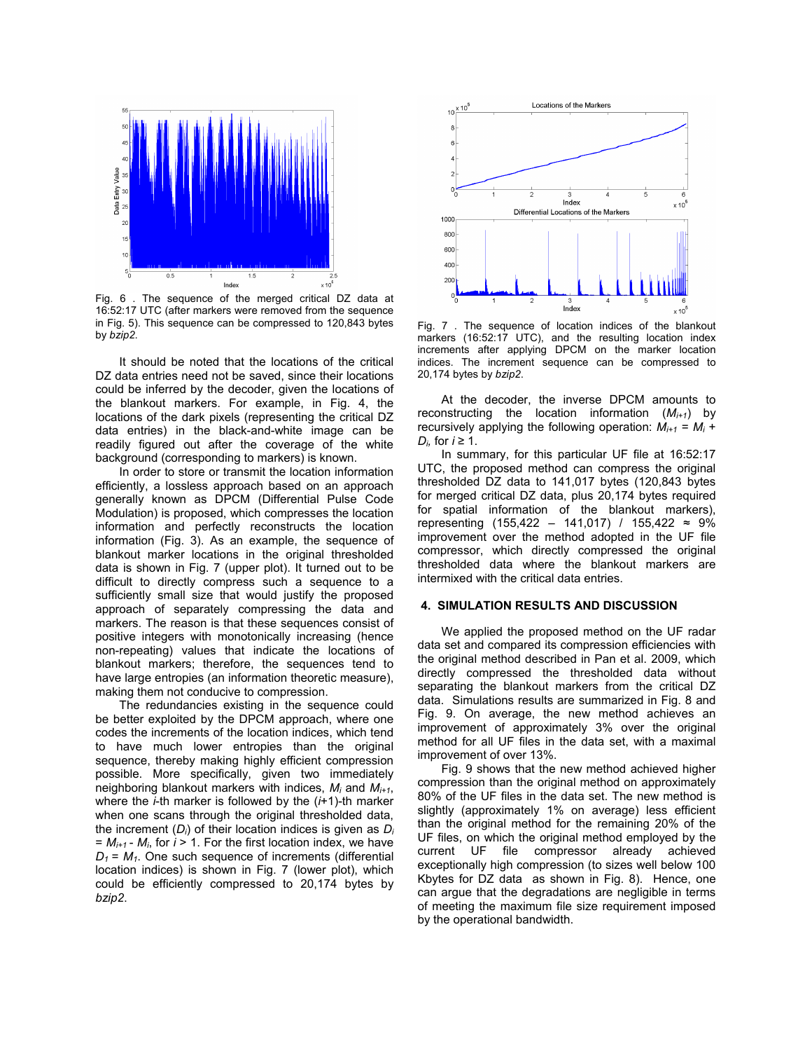

Fig. 6 . The sequence of the merged critical DZ data at 16:52:17 UTC (after markers were removed from the sequence in Fig. 5). This sequence can be compressed to 120,843 bytes by *bzip2*.

It should be noted that the locations of the critical DZ data entries need not be saved, since their locations could be inferred by the decoder, given the locations of the blankout markers. For example, in Fig. 4, the locations of the dark pixels (representing the critical DZ data entries) in the black-and-white image can be readily figured out after the coverage of the white background (corresponding to markers) is known.

In order to store or transmit the location information efficiently, a lossless approach based on an approach generally known as DPCM (Differential Pulse Code Modulation) is proposed, which compresses the location information and perfectly reconstructs the location information (Fig. 3). As an example, the sequence of blankout marker locations in the original thresholded data is shown in Fig. 7 (upper plot). It turned out to be difficult to directly compress such a sequence to a sufficiently small size that would justify the proposed approach of separately compressing the data and markers. The reason is that these sequences consist of positive integers with monotonically increasing (hence non-repeating) values that indicate the locations of blankout markers; therefore, the sequences tend to have large entropies (an information theoretic measure), making them not conducive to compression.

The redundancies existing in the sequence could be better exploited by the DPCM approach, where one codes the increments of the location indices, which tend to have much lower entropies than the original sequence, thereby making highly efficient compression possible. More specifically, given two immediately neighboring blankout markers with indices, *Mi* and *Mi+1*, where the *i*-th marker is followed by the (*i*+1)-th marker when one scans through the original thresholded data, the increment (*Di*) of their location indices is given as *Di*  $= M_{i+1}$  -  $M_i$ , for  $i > 1$ . For the first location index, we have  $D_1 = M_1$ . One such sequence of increments (differential location indices) is shown in Fig. 7 (lower plot), which could be efficiently compressed to 20,174 bytes by *bzip2*.



Fig. 7 . The sequence of location indices of the blankout markers (16:52:17 UTC), and the resulting location index increments after applying DPCM on the marker location indices. The increment sequence can be compressed to 20,174 bytes by *bzip2*.

At the decoder, the inverse DPCM amounts to reconstructing the location information (*Mi+1*) by recursively applying the following operation:  $M_{i+1} = M_i +$ *D<sub>i</sub>*, for *i* ≥ 1.

In summary, for this particular UF file at 16:52:17 UTC, the proposed method can compress the original thresholded DZ data to 141,017 bytes (120,843 bytes for merged critical DZ data, plus 20,174 bytes required for spatial information of the blankout markers), representing (155,422 – 141,017) / 155,422 ≈ 9% improvement over the method adopted in the UF file compressor, which directly compressed the original thresholded data where the blankout markers are intermixed with the critical data entries.

#### **4. SIMULATION RESULTS AND DISCUSSION**

We applied the proposed method on the UF radar data set and compared its compression efficiencies with the original method described in Pan et al. 2009, which directly compressed the thresholded data without separating the blankout markers from the critical DZ data. Simulations results are summarized in Fig. 8 and Fig. 9. On average, the new method achieves an improvement of approximately 3% over the original method for all UF files in the data set, with a maximal improvement of over 13%.

Fig. 9 shows that the new method achieved higher compression than the original method on approximately 80% of the UF files in the data set. The new method is slightly (approximately 1% on average) less efficient than the original method for the remaining 20% of the UF files, on which the original method employed by the current UF file compressor already achieved exceptionally high compression (to sizes well below 100 Kbytes for DZ data as shown in Fig. 8). Hence, one can argue that the degradations are negligible in terms of meeting the maximum file size requirement imposed by the operational bandwidth.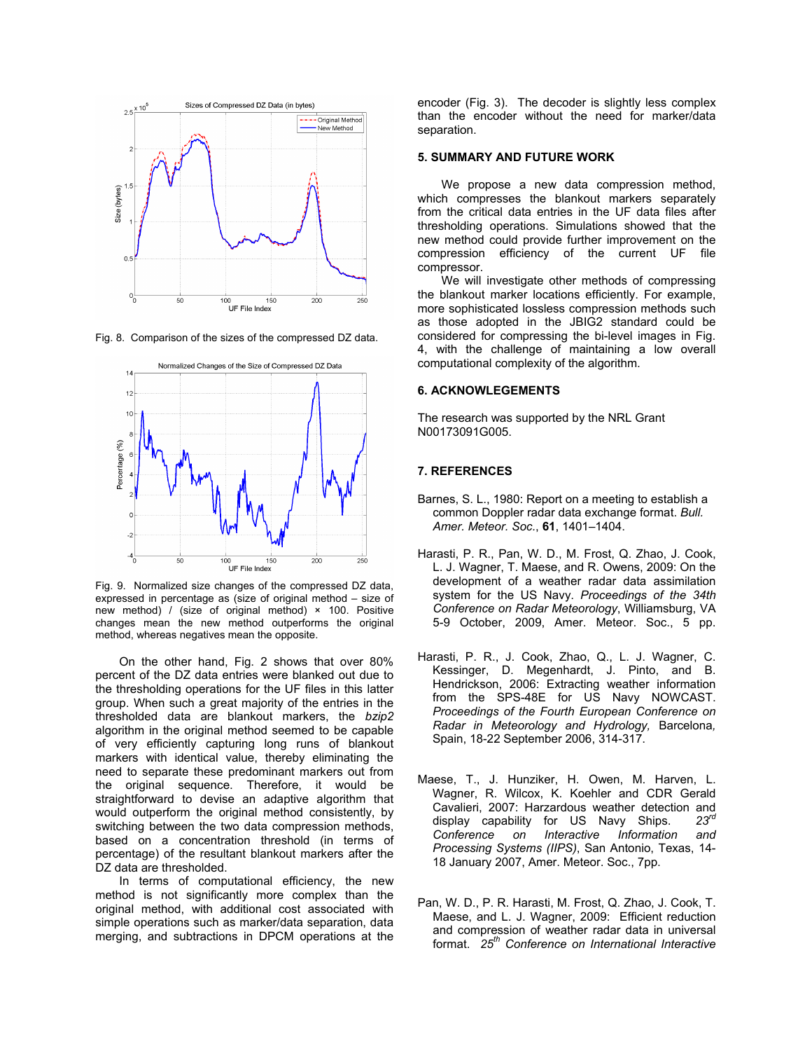

Fig. 8. Comparison of the sizes of the compressed DZ data.



Fig. 9. Normalized size changes of the compressed DZ data, expressed in percentage as (size of original method – size of new method) / (size of original method)  $\times$  100. Positive changes mean the new method outperforms the original method, whereas negatives mean the opposite.

On the other hand, Fig. 2 shows that over 80% percent of the DZ data entries were blanked out due to the thresholding operations for the UF files in this latter group. When such a great majority of the entries in the thresholded data are blankout markers, the *bzip2* algorithm in the original method seemed to be capable of very efficiently capturing long runs of blankout markers with identical value, thereby eliminating the need to separate these predominant markers out from the original sequence. Therefore, it would be straightforward to devise an adaptive algorithm that would outperform the original method consistently, by switching between the two data compression methods, based on a concentration threshold (in terms of percentage) of the resultant blankout markers after the DZ data are thresholded.

In terms of computational efficiency, the new method is not significantly more complex than the original method, with additional cost associated with simple operations such as marker/data separation, data merging, and subtractions in DPCM operations at the encoder (Fig. 3). The decoder is slightly less complex than the encoder without the need for marker/data separation.

#### **5. SUMMARY AND FUTURE WORK**

We propose a new data compression method, which compresses the blankout markers separately from the critical data entries in the UF data files after thresholding operations. Simulations showed that the new method could provide further improvement on the compression efficiency of the current UF file compressor.

We will investigate other methods of compressing the blankout marker locations efficiently. For example, more sophisticated lossless compression methods such as those adopted in the JBIG2 standard could be considered for compressing the bi-level images in Fig. 4, with the challenge of maintaining a low overall computational complexity of the algorithm.

#### **6. ACKNOWLEGEMENTS**

The research was supported by the NRL Grant N00173091G005.

# **7. REFERENCES**

- Barnes, S. L., 1980: Report on a meeting to establish a common Doppler radar data exchange format. *Bull. Amer. Meteor. Soc.*, **61**, 1401–1404.
- Harasti, P. R., Pan, W. D., M. Frost, Q. Zhao, J. Cook, L. J. Wagner, T. Maese, and R. Owens, 2009: On the development of a weather radar data assimilation system for the US Navy. *Proceedings of the 34th Conference on Radar Meteorology*, Williamsburg, VA 5-9 October, 2009, Amer. Meteor. Soc., 5 pp.
- Harasti, P. R., J. Cook, Zhao, Q., L. J. Wagner, C. Kessinger, D. Megenhardt, J. Pinto, and B. Hendrickson, 2006: Extracting weather information from the SPS-48E for US Navy NOWCAST. *Proceedings of the Fourth European Conference on Radar in Meteorology and Hydrology,* Barcelona*,*  Spain, 18-22 September 2006, 314-317.
- Maese, T., J. Hunziker, H. Owen, M. Harven, L. Wagner, R. Wilcox, K. Koehler and CDR Gerald Cavalieri, 2007: Harzardous weather detection and display capability for US Navy Ships. *23rd Conference on Interactive Information and Processing Systems (IIPS)*, San Antonio, Texas, 14- 18 January 2007, Amer. Meteor. Soc., 7pp.
- Pan, W. D., P. R. Harasti, M. Frost, Q. Zhao, J. Cook, T. Maese, and L. J. Wagner, 2009: Efficient reduction and compression of weather radar data in universal format. *25th Conference on International Interactive*